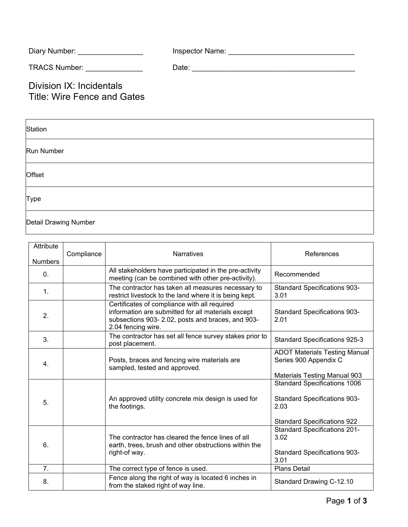| Diary Number: | Inspector Name: |
|---------------|-----------------|
|               |                 |

TRACS Number: \_\_\_\_\_\_\_\_\_\_\_\_\_\_ Date: \_\_\_\_\_\_\_\_\_\_\_\_\_\_\_\_\_\_\_\_\_\_\_\_\_\_\_\_\_\_\_\_\_\_\_\_\_\_\_\_

Division IX: Incidentals Title: Wire Fence and Gates

| Station               |  |
|-----------------------|--|
| Run Number            |  |
| Offset                |  |
| Type                  |  |
| Detail Drawing Number |  |

| Attribute<br><b>Numbers</b> | Compliance | <b>Narratives</b>                                                                                                                                                            | References                                                                                                                                                      |
|-----------------------------|------------|------------------------------------------------------------------------------------------------------------------------------------------------------------------------------|-----------------------------------------------------------------------------------------------------------------------------------------------------------------|
| $\mathbf{0}$ .              |            | All stakeholders have participated in the pre-activity<br>meeting (can be combined with other pre-activity).                                                                 | Recommended                                                                                                                                                     |
| $\mathbf{1}$ .              |            | The contractor has taken all measures necessary to<br>restrict livestock to the land where it is being kept.                                                                 | <b>Standard Specifications 903-</b><br>3.01                                                                                                                     |
| 2.                          |            | Certificates of compliance with all required<br>information are submitted for all materials except<br>subsections 903-2.02, posts and braces, and 903-<br>2.04 fencing wire. | <b>Standard Specifications 903-</b><br>2.01                                                                                                                     |
| 3.                          |            | The contractor has set all fence survey stakes prior to<br>post placement.                                                                                                   | <b>Standard Specifications 925-3</b>                                                                                                                            |
| $\mathbf{4}$ .              |            | Posts, braces and fencing wire materials are<br>sampled, tested and approved.                                                                                                | <b>ADOT Materials Testing Manual</b><br>Series 900 Appendix C                                                                                                   |
| 5.                          |            | An approved utility concrete mix design is used for<br>the footings.                                                                                                         | <b>Materials Testing Manual 903</b><br><b>Standard Specifications 1006</b><br><b>Standard Specifications 903-</b><br>2.03<br><b>Standard Specifications 922</b> |
| 6.                          |            | The contractor has cleared the fence lines of all<br>earth, trees, brush and other obstructions within the<br>right-of way.                                                  | <b>Standard Specifications 201-</b><br>3.02<br><b>Standard Specifications 903-</b><br>3.01                                                                      |
| 7.                          |            | The correct type of fence is used.                                                                                                                                           | <b>Plans Detail</b>                                                                                                                                             |
| 8.                          |            | Fence along the right of way is located 6 inches in<br>from the staked right of way line.                                                                                    | Standard Drawing C-12.10                                                                                                                                        |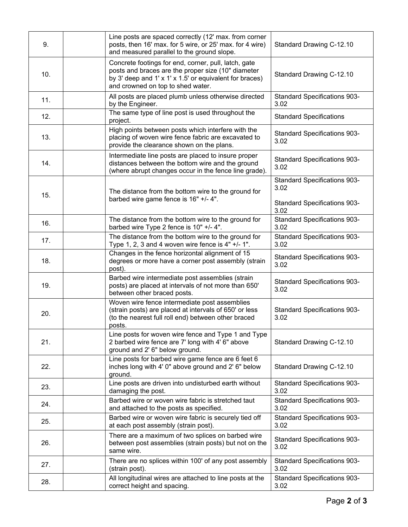| 9.  | Line posts are spaced correctly (12' max. from corner<br>posts, then 16' max. for 5 wire, or 25' max. for 4 wire)<br>and measured parallel to the ground slope.                                            | Standard Drawing C-12.10                                                                   |
|-----|------------------------------------------------------------------------------------------------------------------------------------------------------------------------------------------------------------|--------------------------------------------------------------------------------------------|
| 10. | Concrete footings for end, corner, pull, latch, gate<br>posts and braces are the proper size (10" diameter<br>by 3' deep and 1' x 1' x 1.5' or equivalent for braces)<br>and crowned on top to shed water. | Standard Drawing C-12.10                                                                   |
| 11. | All posts are placed plumb unless otherwise directed<br>by the Engineer.                                                                                                                                   | <b>Standard Specifications 903-</b><br>3.02                                                |
| 12. | The same type of line post is used throughout the<br>project.                                                                                                                                              | <b>Standard Specifications</b>                                                             |
| 13. | High points between posts which interfere with the<br>placing of woven wire fence fabric are excavated to<br>provide the clearance shown on the plans.                                                     | <b>Standard Specifications 903-</b><br>3.02                                                |
| 14. | Intermediate line posts are placed to insure proper<br>distances between the bottom wire and the ground<br>(where abrupt changes occur in the fence line grade).                                           | <b>Standard Specifications 903-</b><br>3.02                                                |
| 15. | The distance from the bottom wire to the ground for<br>barbed wire game fence is 16" +/- 4".                                                                                                               | <b>Standard Specifications 903-</b><br>3.02<br><b>Standard Specifications 903-</b><br>3.02 |
| 16. | The distance from the bottom wire to the ground for<br>barbed wire Type 2 fence is 10" +/- 4".                                                                                                             | <b>Standard Specifications 903-</b><br>3.02                                                |
| 17. | The distance from the bottom wire to the ground for<br>Type 1, 2, 3 and 4 woven wire fence is $4" +/- 1"$ .                                                                                                | <b>Standard Specifications 903-</b><br>3.02                                                |
| 18. | Changes in the fence horizontal alignment of 15<br>degrees or more have a corner post assembly (strain<br>post).                                                                                           | <b>Standard Specifications 903-</b><br>3.02                                                |
| 19. | Barbed wire intermediate post assemblies (strain<br>posts) are placed at intervals of not more than 650'<br>between other braced posts.                                                                    | <b>Standard Specifications 903-</b><br>3.02                                                |
| 20. | Woven wire fence intermediate post assemblies<br>(strain posts) are placed at intervals of 650' or less<br>(to the nearest full roll end) between other braced<br>posts.                                   | <b>Standard Specifications 903-</b><br>3.02                                                |
| 21. | Line posts for woven wire fence and Type 1 and Type<br>2 barbed wire fence are 7' long with 4' 6" above<br>ground and 2' 6" below ground.                                                                  | Standard Drawing C-12.10                                                                   |
| 22. | Line posts for barbed wire game fence are 6 feet 6<br>inches long with 4' 0" above ground and 2' 6" below<br>ground.                                                                                       | Standard Drawing C-12.10                                                                   |
| 23. | Line posts are driven into undisturbed earth without<br>damaging the post.                                                                                                                                 | <b>Standard Specifications 903-</b><br>3.02                                                |
| 24. | Barbed wire or woven wire fabric is stretched taut<br>and attached to the posts as specified.                                                                                                              | <b>Standard Specifications 903-</b><br>3.02                                                |
| 25. | Barbed wire or woven wire fabric is securely tied off<br>at each post assembly (strain post).                                                                                                              | <b>Standard Specifications 903-</b><br>3.02                                                |
| 26. | There are a maximum of two splices on barbed wire<br>between post assemblies (strain posts) but not on the<br>same wire.                                                                                   | <b>Standard Specifications 903-</b><br>3.02                                                |
| 27. | There are no splices within 100' of any post assembly<br>(strain post).                                                                                                                                    | <b>Standard Specifications 903-</b><br>3.02                                                |
| 28. | All longitudinal wires are attached to line posts at the<br>correct height and spacing.                                                                                                                    | <b>Standard Specifications 903-</b><br>3.02                                                |